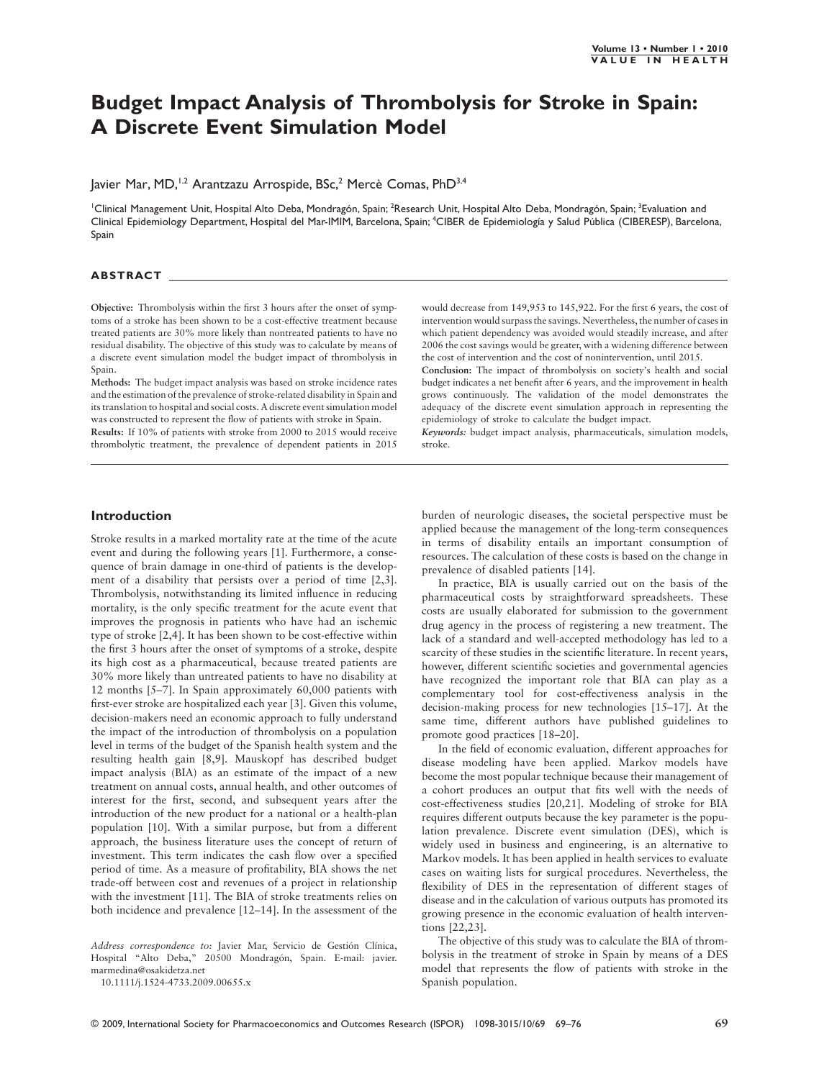# **Budget Impact Analysis of Thrombolysis for Stroke in Spain: A Discrete Event Simulation Model**

Javier Mar, MD,<sup>1,2</sup> Arantzazu Arrospide, BSc,<sup>2</sup> Mercè Comas, PhD<sup>3,4</sup>

'Clinical Management Unit, Hospital Alto Deba, Mondragón, Spain; <sup>2</sup>Research Unit, Hospital Alto Deba, Mondragón, Spain; <sup>3</sup>Evaluation and Clinical Epidemiology Department, Hospital del Mar-IMIM, Barcelona, Spain; <sup>4</sup>CIBER de Epidemiología y Salud Pública (CIBERESP), Barcelona, Spain

#### **ABSTRACT**

**Objective:** Thrombolysis within the first 3 hours after the onset of symptoms of a stroke has been shown to be a cost-effective treatment because treated patients are 30% more likely than nontreated patients to have no residual disability. The objective of this study was to calculate by means of a discrete event simulation model the budget impact of thrombolysis in Spain.

**Methods:** The budget impact analysis was based on stroke incidence rates and the estimation of the prevalence of stroke-related disability in Spain and its translation to hospital and social costs. A discrete event simulation model was constructed to represent the flow of patients with stroke in Spain.

**Results:** If 10% of patients with stroke from 2000 to 2015 would receive thrombolytic treatment, the prevalence of dependent patients in 2015

would decrease from 149,953 to 145,922. For the first 6 years, the cost of intervention would surpass the savings. Nevertheless, the number of cases in which patient dependency was avoided would steadily increase, and after 2006 the cost savings would be greater, with a widening difference between the cost of intervention and the cost of nonintervention, until 2015.

**Conclusion:** The impact of thrombolysis on society's health and social budget indicates a net benefit after 6 years, and the improvement in health grows continuously. The validation of the model demonstrates the adequacy of the discrete event simulation approach in representing the epidemiology of stroke to calculate the budget impact.

*Keywords:* budget impact analysis, pharmaceuticals, simulation models, stroke.

#### **Introduction**

Stroke results in a marked mortality rate at the time of the acute event and during the following years [1]. Furthermore, a consequence of brain damage in one-third of patients is the development of a disability that persists over a period of time [2,3]. Thrombolysis, notwithstanding its limited influence in reducing mortality, is the only specific treatment for the acute event that improves the prognosis in patients who have had an ischemic type of stroke [2,4]. It has been shown to be cost-effective within the first 3 hours after the onset of symptoms of a stroke, despite its high cost as a pharmaceutical, because treated patients are 30% more likely than untreated patients to have no disability at 12 months [5–7]. In Spain approximately 60,000 patients with first-ever stroke are hospitalized each year [3]. Given this volume, decision-makers need an economic approach to fully understand the impact of the introduction of thrombolysis on a population level in terms of the budget of the Spanish health system and the resulting health gain [8,9]. Mauskopf has described budget impact analysis (BIA) as an estimate of the impact of a new treatment on annual costs, annual health, and other outcomes of interest for the first, second, and subsequent years after the introduction of the new product for a national or a health-plan population [10]. With a similar purpose, but from a different approach, the business literature uses the concept of return of investment. This term indicates the cash flow over a specified period of time. As a measure of profitability, BIA shows the net trade-off between cost and revenues of a project in relationship with the investment [11]. The BIA of stroke treatments relies on both incidence and prevalence [12–14]. In the assessment of the

*Address correspondence to:* Javier Mar, Servicio de Gestión Clínica, Hospital "Alto Deba," 20500 Mondragón, Spain. E-mail: javier. marmedina@osakidetza.net

10.1111/j.1524-4733.2009.00655.x

burden of neurologic diseases, the societal perspective must be applied because the management of the long-term consequences in terms of disability entails an important consumption of resources. The calculation of these costs is based on the change in prevalence of disabled patients [14].

In practice, BIA is usually carried out on the basis of the pharmaceutical costs by straightforward spreadsheets. These costs are usually elaborated for submission to the government drug agency in the process of registering a new treatment. The lack of a standard and well-accepted methodology has led to a scarcity of these studies in the scientific literature. In recent years, however, different scientific societies and governmental agencies have recognized the important role that BIA can play as a complementary tool for cost-effectiveness analysis in the decision-making process for new technologies [15–17]. At the same time, different authors have published guidelines to promote good practices [18–20].

In the field of economic evaluation, different approaches for disease modeling have been applied. Markov models have become the most popular technique because their management of a cohort produces an output that fits well with the needs of cost-effectiveness studies [20,21]. Modeling of stroke for BIA requires different outputs because the key parameter is the population prevalence. Discrete event simulation (DES), which is widely used in business and engineering, is an alternative to Markov models. It has been applied in health services to evaluate cases on waiting lists for surgical procedures. Nevertheless, the flexibility of DES in the representation of different stages of disease and in the calculation of various outputs has promoted its growing presence in the economic evaluation of health interventions [22,23].

The objective of this study was to calculate the BIA of thrombolysis in the treatment of stroke in Spain by means of a DES model that represents the flow of patients with stroke in the Spanish population.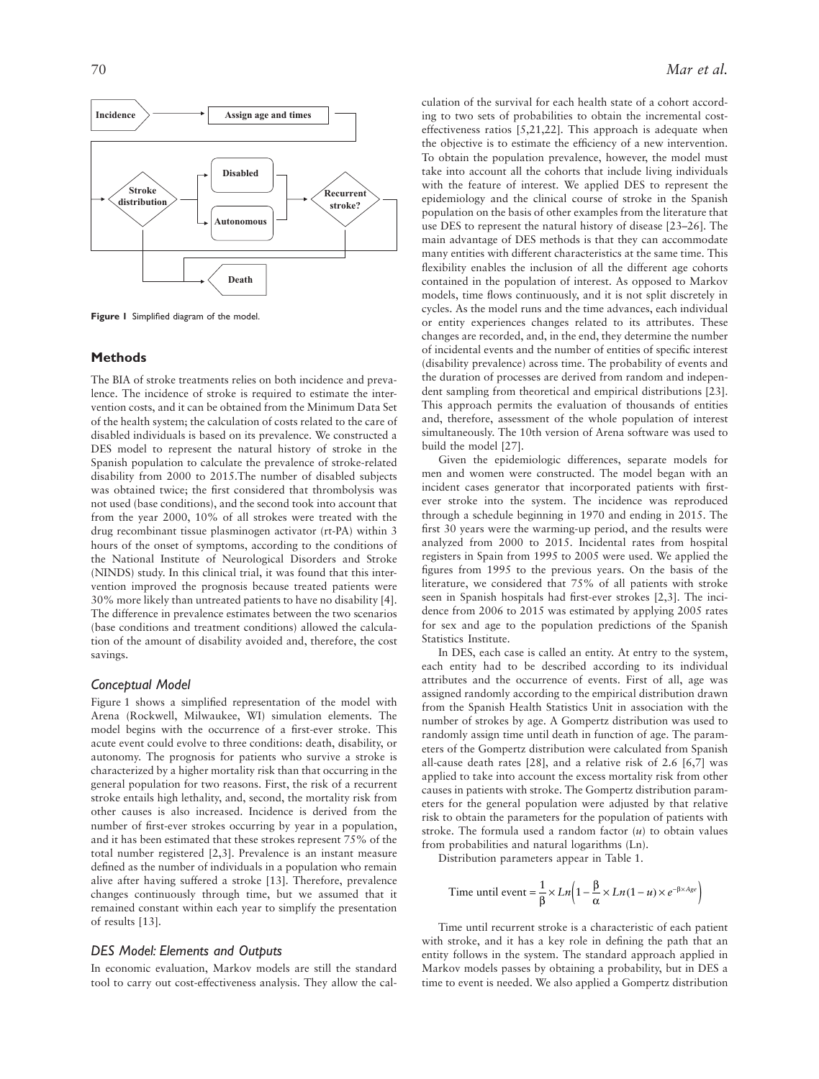

**Figure 1** Simplified diagram of the model.

#### **Methods**

The BIA of stroke treatments relies on both incidence and prevalence. The incidence of stroke is required to estimate the intervention costs, and it can be obtained from the Minimum Data Set of the health system; the calculation of costs related to the care of disabled individuals is based on its prevalence. We constructed a DES model to represent the natural history of stroke in the Spanish population to calculate the prevalence of stroke-related disability from 2000 to 2015.The number of disabled subjects was obtained twice; the first considered that thrombolysis was not used (base conditions), and the second took into account that from the year 2000, 10% of all strokes were treated with the drug recombinant tissue plasminogen activator (rt-PA) within 3 hours of the onset of symptoms, according to the conditions of the National Institute of Neurological Disorders and Stroke (NINDS) study. In this clinical trial, it was found that this intervention improved the prognosis because treated patients were 30% more likely than untreated patients to have no disability [4]. The difference in prevalence estimates between the two scenarios (base conditions and treatment conditions) allowed the calculation of the amount of disability avoided and, therefore, the cost savings.

## *Conceptual Model*

Figure 1 shows a simplified representation of the model with Arena (Rockwell, Milwaukee, WI) simulation elements. The model begins with the occurrence of a first-ever stroke. This acute event could evolve to three conditions: death, disability, or autonomy. The prognosis for patients who survive a stroke is characterized by a higher mortality risk than that occurring in the general population for two reasons. First, the risk of a recurrent stroke entails high lethality, and, second, the mortality risk from other causes is also increased. Incidence is derived from the number of first-ever strokes occurring by year in a population, and it has been estimated that these strokes represent 75% of the total number registered [2,3]. Prevalence is an instant measure defined as the number of individuals in a population who remain alive after having suffered a stroke [13]. Therefore, prevalence changes continuously through time, but we assumed that it remained constant within each year to simplify the presentation of results [13].

## *DES Model: Elements and Outputs*

In economic evaluation, Markov models are still the standard tool to carry out cost-effectiveness analysis. They allow the calculation of the survival for each health state of a cohort according to two sets of probabilities to obtain the incremental costeffectiveness ratios [5,21,22]. This approach is adequate when the objective is to estimate the efficiency of a new intervention. To obtain the population prevalence, however, the model must take into account all the cohorts that include living individuals with the feature of interest. We applied DES to represent the epidemiology and the clinical course of stroke in the Spanish population on the basis of other examples from the literature that use DES to represent the natural history of disease [23–26]. The main advantage of DES methods is that they can accommodate many entities with different characteristics at the same time. This flexibility enables the inclusion of all the different age cohorts contained in the population of interest. As opposed to Markov models, time flows continuously, and it is not split discretely in cycles. As the model runs and the time advances, each individual or entity experiences changes related to its attributes. These changes are recorded, and, in the end, they determine the number of incidental events and the number of entities of specific interest (disability prevalence) across time. The probability of events and the duration of processes are derived from random and independent sampling from theoretical and empirical distributions [23]. This approach permits the evaluation of thousands of entities and, therefore, assessment of the whole population of interest simultaneously. The 10th version of Arena software was used to build the model [27].

Given the epidemiologic differences, separate models for men and women were constructed. The model began with an incident cases generator that incorporated patients with firstever stroke into the system. The incidence was reproduced through a schedule beginning in 1970 and ending in 2015. The first 30 years were the warming-up period, and the results were analyzed from 2000 to 2015. Incidental rates from hospital registers in Spain from 1995 to 2005 were used. We applied the figures from 1995 to the previous years. On the basis of the literature, we considered that 75% of all patients with stroke seen in Spanish hospitals had first-ever strokes [2,3]. The incidence from 2006 to 2015 was estimated by applying 2005 rates for sex and age to the population predictions of the Spanish Statistics Institute.

In DES, each case is called an entity. At entry to the system, each entity had to be described according to its individual attributes and the occurrence of events. First of all, age was assigned randomly according to the empirical distribution drawn from the Spanish Health Statistics Unit in association with the number of strokes by age. A Gompertz distribution was used to randomly assign time until death in function of age. The parameters of the Gompertz distribution were calculated from Spanish all-cause death rates [28], and a relative risk of 2.6 [6,7] was applied to take into account the excess mortality risk from other causes in patients with stroke. The Gompertz distribution parameters for the general population were adjusted by that relative risk to obtain the parameters for the population of patients with stroke. The formula used a random factor (*u*) to obtain values from probabilities and natural logarithms (Ln).

Distribution parameters appear in Table 1.

Time until event 
$$
=
$$
  $\frac{1}{\beta} \times Ln\left(1 - \frac{\beta}{\alpha} \times Ln(1 - u) \times e^{-\beta \times Age}\right)$ 

Time until recurrent stroke is a characteristic of each patient with stroke, and it has a key role in defining the path that an entity follows in the system. The standard approach applied in Markov models passes by obtaining a probability, but in DES a time to event is needed. We also applied a Gompertz distribution